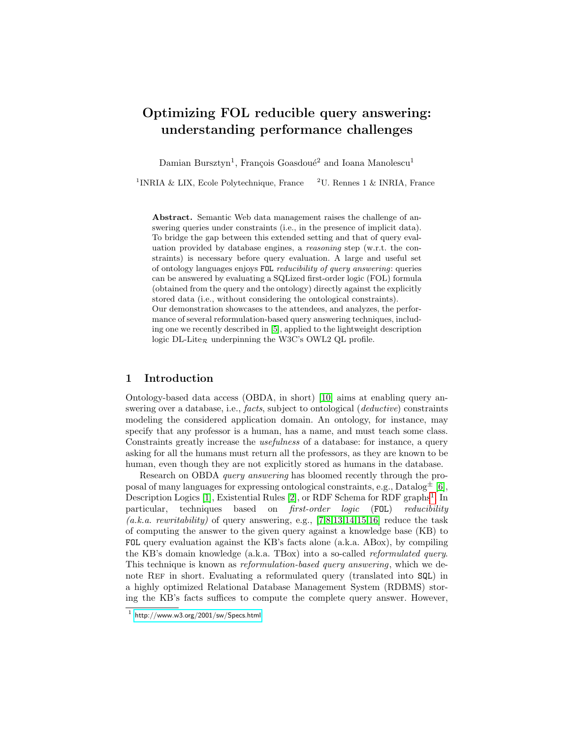# Optimizing FOL reducible query answering: understanding performance challenges

Damian Bursztyn<sup>1</sup>, François Goasdoué<sup>2</sup> and Ioana Manolescu<sup>1</sup>

<sup>1</sup>INRIA & LIX, Ecole Polytechnique, France  $2U$ . Rennes 1 & INRIA, France

Abstract. Semantic Web data management raises the challenge of answering queries under constraints (i.e., in the presence of implicit data). To bridge the gap between this extended setting and that of query evaluation provided by database engines, a reasoning step (w.r.t. the constraints) is necessary before query evaluation. A large and useful set of ontology languages enjoys FOL reducibility of query answering: queries can be answered by evaluating a SQLized first-order logic (FOL) formula (obtained from the query and the ontology) directly against the explicitly stored data (i.e., without considering the ontological constraints). Our demonstration showcases to the attendees, and analyzes, the performance of several reformulation-based query answering techniques, including one we recently described in [\[5\]](#page-3-0), applied to the lightweight description logic DL-Lite<sub> $\mathcal{R}$ </sub> underpinning the W3C's OWL2 QL profile.

## 1 Introduction

Ontology-based data access (OBDA, in short) [\[10\]](#page-3-1) aims at enabling query answering over a database, i.e., *facts*, subject to ontological (*deductive*) constraints modeling the considered application domain. An ontology, for instance, may specify that any professor is a human, has a name, and must teach some class. Constraints greatly increase the usefulness of a database: for instance, a query asking for all the humans must return all the professors, as they are known to be human, even though they are not explicitly stored as humans in the database.

Research on OBDA query answering has bloomed recently through the proposal of many languages for expressing ontological constraints, e.g.,  $\text{Database}^{\pm}$  [\[6\]](#page-3-2), Description Logics [\[1\]](#page-3-3), Existential Rules [\[2\]](#page-3-4), or RDF Schema for RDF graphs<sup>[1](#page-0-0)</sup>. In particular, techniques based on first-order logic (FOL) reducibility  $(a.k.a. \, rewrittenibility)$  of query answering, e.g., [\[7,](#page-3-5)[8,](#page-3-6)[13](#page-3-7)[,14,](#page-3-8)[15,](#page-3-9)[16\]](#page-3-10) reduce the task of computing the answer to the given query against a knowledge base (KB) to FOL query evaluation against the KB's facts alone (a.k.a. ABox), by compiling the KB's domain knowledge (a.k.a. TBox) into a so-called reformulated query. This technique is known as reformulation-based query answering, which we denote Ref in short. Evaluating a reformulated query (translated into SQL) in a highly optimized Relational Database Management System (RDBMS) storing the KB's facts suffices to compute the complete query answer. However,

<span id="page-0-0"></span> $1$  <http://www.w3.org/2001/sw/Specs.html>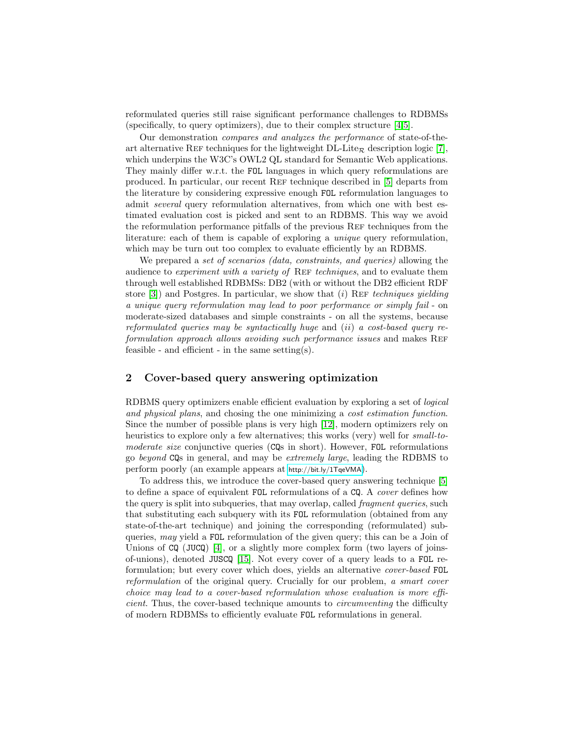reformulated queries still raise significant performance challenges to RDBMSs (specifically, to query optimizers), due to their complex structure [\[4,](#page-3-11)[5\]](#page-3-0).

Our demonstration compares and analyzes the performance of state-of-theart alternative REF techniques for the lightweight  $DL\text{-}Life_{\mathcal{R}}$  description logic [\[7\]](#page-3-5), which underpins the W3C's OWL2 QL standard for Semantic Web applications. They mainly differ w.r.t. the FOL languages in which query reformulations are produced. In particular, our recent Ref technique described in [\[5\]](#page-3-0) departs from the literature by considering expressive enough FOL reformulation languages to admit several query reformulation alternatives, from which one with best estimated evaluation cost is picked and sent to an RDBMS. This way we avoid the reformulation performance pitfalls of the previous REF techniques from the literature: each of them is capable of exploring a unique query reformulation, which may be turn out too complex to evaluate efficiently by an RDBMS.

We prepared a set of scenarios (data, constraints, and queries) allowing the audience to experiment with a variety of REF techniques, and to evaluate them through well established RDBMSs: DB2 (with or without the DB2 efficient RDF store  $[3]$ ) and Postgres. In particular, we show that (i) REF techniques yielding a unique query reformulation may lead to poor performance or simply fail - on moderate-sized databases and simple constraints - on all the systems, because reformulated queries may be syntactically huge and  $(ii)$  a cost-based query reformulation approach allows avoiding such performance issues and makes REF feasible - and efficient - in the same setting(s).

## 2 Cover-based query answering optimization

RDBMS query optimizers enable efficient evaluation by exploring a set of logical and physical plans, and chosing the one minimizing a cost estimation function. Since the number of possible plans is very high [\[12\]](#page-3-13), modern optimizers rely on heuristics to explore only a few alternatives; this works (very) well for *small-to*moderate size conjunctive queries (CQs in short). However, FOL reformulations go beyond CQs in general, and may be extremely large, leading the RDBMS to perform poorly (an example appears at <http://bit.ly/1TqeVMA>).

To address this, we introduce the cover-based query answering technique [\[5\]](#page-3-0) to define a space of equivalent FOL reformulations of a CQ. A cover defines how the query is split into subqueries, that may overlap, called *fragment queries*, such that substituting each subquery with its FOL reformulation (obtained from any state-of-the-art technique) and joining the corresponding (reformulated) subqueries, may yield a FOL reformulation of the given query; this can be a Join of Unions of  $CQ$  (JUCQ) [\[4\]](#page-3-11), or a slightly more complex form (two layers of joinsof-unions), denoted JUSCQ [\[15\]](#page-3-9). Not every cover of a query leads to a FOL reformulation; but every cover which does, yields an alternative cover-based FOL reformulation of the original query. Crucially for our problem, a smart cover choice may lead to a cover-based reformulation whose evaluation is more efficient. Thus, the cover-based technique amounts to circumventing the difficulty of modern RDBMSs to efficiently evaluate FOL reformulations in general.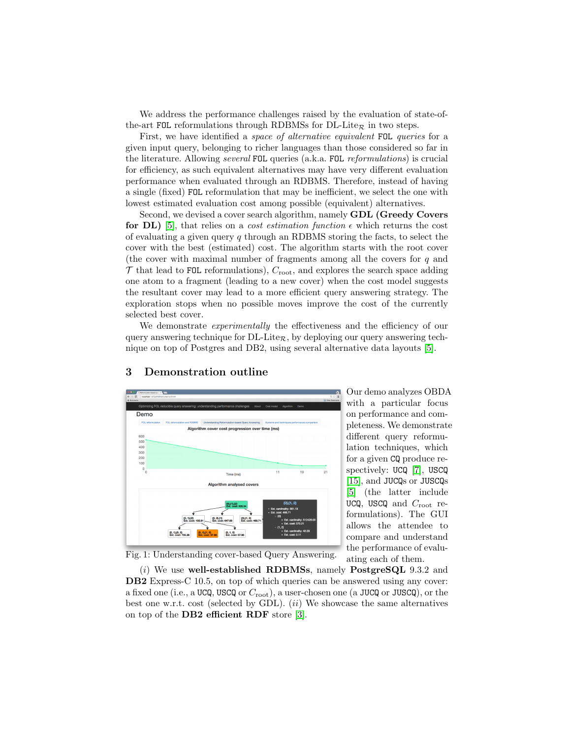We address the performance challenges raised by the evaluation of state-ofthe-art FOL reformulations through RDBMSs for DL-Lite<sub>R</sub> in two steps.

First, we have identified a *space of alternative equivalent FOL queries* for a given input query, belonging to richer languages than those considered so far in the literature. Allowing several FOL queries (a.k.a. FOL reformulations) is crucial for efficiency, as such equivalent alternatives may have very different evaluation performance when evaluated through an RDBMS. Therefore, instead of having a single (fixed) FOL reformulation that may be inefficient, we select the one with lowest estimated evaluation cost among possible (equivalent) alternatives.

Second, we devised a cover search algorithm, namely GDL (Greedy Covers for DL) [\[5\]](#page-3-0), that relies on a *cost estimation function*  $\epsilon$  which returns the cost of evaluating a given query q through an RDBMS storing the facts, to select the cover with the best (estimated) cost. The algorithm starts with the root cover (the cover with maximal number of fragments among all the covers for  $q$  and  $\mathcal T$  that lead to FOL reformulations),  $C_{\text{root}}$ , and explores the search space adding one atom to a fragment (leading to a new cover) when the cost model suggests the resultant cover may lead to a more efficient query answering strategy. The exploration stops when no possible moves improve the cost of the currently selected best cover.

We demonstrate experimentally the effectiveness and the efficiency of our query answering technique for  $DL\text{-}Lite_{\mathcal{R}}$ , by deploying our query answering technique on top of Postgres and DB2, using several alternative data layouts [\[5\]](#page-3-0).

<span id="page-2-0"></span>

## 3 Demonstration outline

Our demo analyzes OBDA with a particular focus on performance and completeness. We demonstrate different query reformulation techniques, which for a given CQ produce respectively: UCQ [\[7\]](#page-3-5), USCQ [\[15\]](#page-3-9), and JUCQs or JUSCQs [\[5\]](#page-3-0) (the latter include UCQ, USCQ and  $C_{\text{root}}$  reformulations). The GUI allows the attendee to compare and understand the performance of evaluating each of them.

Fig. 1: Understanding cover-based Query Answering.

 $(i)$  We use well-established RDBMSs, namely PostgreSQL 9.3.2 and DB2 Express-C 10.5, on top of which queries can be answered using any cover: a fixed one (i.e., a UCQ, USCQ or  $C_{\text{root}}$ ), a user-chosen one (a JUCQ or JUSCQ), or the best one w.r.t. cost (selected by GDL).  $(ii)$  We showcase the same alternatives on top of the DB2 efficient RDF store [\[3\]](#page-3-12).